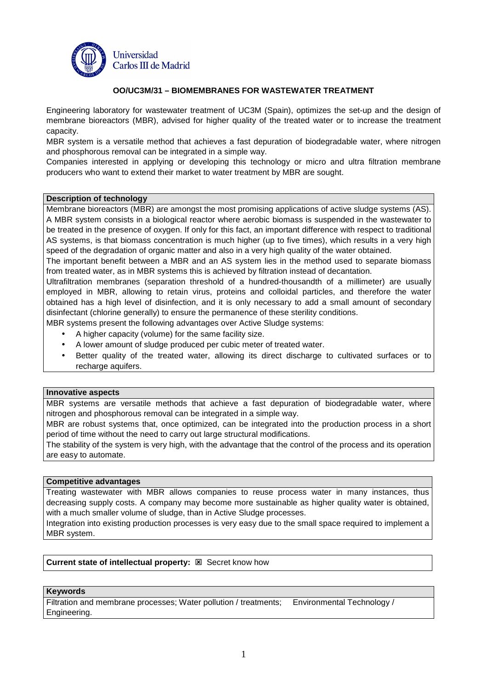

## **OO/UC3M/31 – BIOMEMBRANES FOR WASTEWATER TREATMENT**

Engineering laboratory for wastewater treatment of UC3M (Spain), optimizes the set-up and the design of membrane bioreactors (MBR), advised for higher quality of the treated water or to increase the treatment capacity.

MBR system is a versatile method that achieves a fast depuration of biodegradable water, where nitrogen and phosphorous removal can be integrated in a simple way.

Companies interested in applying or developing this technology or micro and ultra filtration membrane producers who want to extend their market to water treatment by MBR are sought.

#### **Description of technology**

Membrane bioreactors (MBR) are amongst the most promising applications of active sludge systems (AS). A MBR system consists in a biological reactor where aerobic biomass is suspended in the wastewater to be treated in the presence of oxygen. If only for this fact, an important difference with respect to traditional AS systems, is that biomass concentration is much higher (up to five times), which results in a very high speed of the degradation of organic matter and also in a very high quality of the water obtained.

The important benefit between a MBR and an AS system lies in the method used to separate biomass from treated water, as in MBR systems this is achieved by filtration instead of decantation.

Ultrafiltration membranes (separation threshold of a hundred-thousandth of a millimeter) are usually employed in MBR, allowing to retain virus, proteins and colloidal particles, and therefore the water obtained has a high level of disinfection, and it is only necessary to add a small amount of secondary disinfectant (chlorine generally) to ensure the permanence of these sterility conditions.

MBR systems present the following advantages over Active Sludge systems:

- A higher capacity (volume) for the same facility size.
- A lower amount of sludge produced per cubic meter of treated water.
- Better quality of the treated water, allowing its direct discharge to cultivated surfaces or to recharge aquifers.

#### **Innovative aspects**

MBR systems are versatile methods that achieve a fast depuration of biodegradable water, where nitrogen and phosphorous removal can be integrated in a simple way.

MBR are robust systems that, once optimized, can be integrated into the production process in a short period of time without the need to carry out large structural modifications.

The stability of the system is very high, with the advantage that the control of the process and its operation are easy to automate.

### **Competitive advantages**

Treating wastewater with MBR allows companies to reuse process water in many instances, thus decreasing supply costs. A company may become more sustainable as higher quality water is obtained, with a much smaller volume of sludge, than in Active Sludge processes.

Integration into existing production processes is very easy due to the small space required to implement a MBR system.

# **Current state of intellectual property: <b>EX** Secret know how

### **Keywords**

Filtration and membrane processes; Water pollution / treatments; Environmental Technology / Engineering.